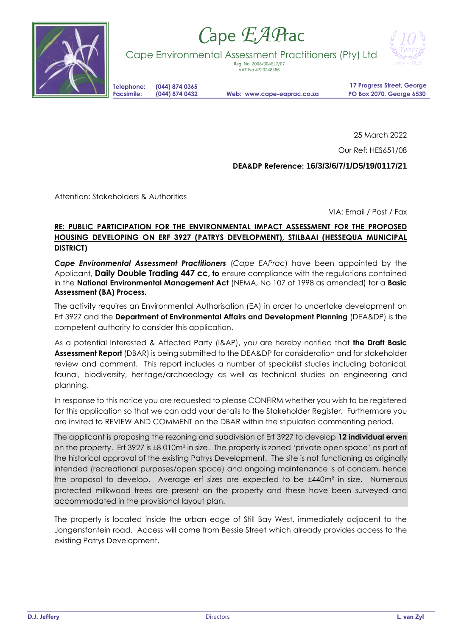

## *C*ape *EAP*rac



Cape Environmental Assessment Practitioners (Pty) Ltd

Reg. No. 2008/004627/07 VAT No 4720248386

**Telephone: (044) 874 0365**

**Facsimile: (044) 874 0432 Web: www.cape-eaprac.co.za**

**17 Progress Street, George PO Box 2070, George 6530**

25 March 2022

Our Ref: HES651/08

## **DEA&DP Reference: 16/3/3/6/7/1/D5/19/0117/21**

Attention: Stakeholders & Authorities

VIA: Email / Post / Fax

## **RE: PUBLIC PARTICIPATION FOR THE ENVIRONMENTAL IMPACT ASSESSMENT FOR THE PROPOSED HOUSING DEVELOPING ON ERF 3927 (PATRYS DEVELOPMENT), STILBAAI (HESSEQUA MUNICIPAL DISTRICT)**

*Cape Environmental Assessment Practitioners* (*Cape EAPrac*) have been appointed by the Applicant, **Daily Double Trading 447 cc, to** ensure compliance with the regulations contained in the **National Environmental Management Act** (NEMA, No 107 of 1998 as amended) for a **Basic Assessment (BA) Process.**

The activity requires an Environmental Authorisation (EA) in order to undertake development on Erf 3927 and the **Department of Environmental Affairs and Development Planning** (DEA&DP) is the competent authority to consider this application.

As a potential Interested & Affected Party (I&AP), you are hereby notified that **the Draft Basic Assessment Report** (DBAR) is being submitted to the DEA&DP for consideration and for stakeholder review and comment. This report includes a number of specialist studies including botanical, faunal, biodiversity, heritage/archaeology as well as technical studies on engineering and planning.

In response to this notice you are requested to please CONFIRM whether you wish to be registered for this application so that we can add your details to the Stakeholder Register. Furthermore you are invited to REVIEW AND COMMENT on the DBAR within the stipulated commenting period.

The applicant is proposing the rezoning and subdivision of Erf 3927 to develop **12 individual erven** on the property. Erf 3927 is ±8 010m² in size. The property is zoned 'private open space' as part of the historical approval of the existing Patrys Development. The site is not functioning as originally intended (recreational purposes/open space) and ongoing maintenance is of concern, hence the proposal to develop. Average erf sizes are expected to be ±440m² in size. Numerous protected milkwood trees are present on the property and these have been surveyed and accommodated in the provisional layout plan.

The property is located inside the urban edge of Still Bay West, immediately adjacent to the Jongensfontein road. Access will come from Bessie Street which already provides access to the existing Patrys Development.